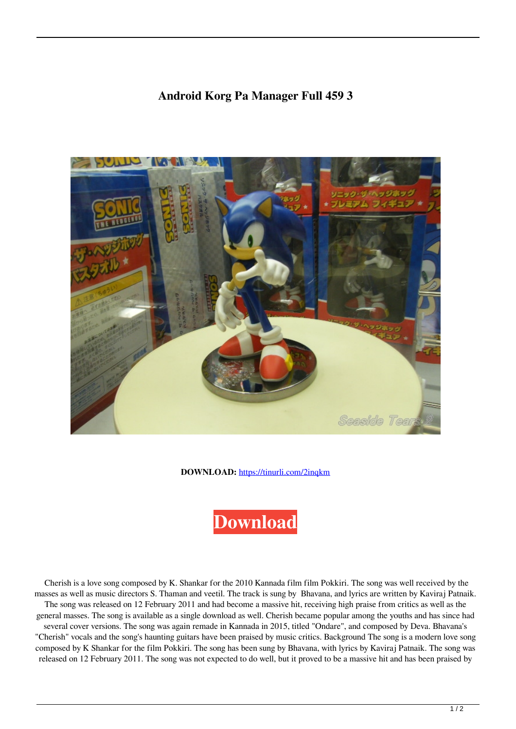## **Android Korg Pa Manager Full 459 3**



**DOWNLOAD:** <https://tinurli.com/2inqkm>



 Cherish is a love song composed by K. Shankar for the 2010 Kannada film film Pokkiri. The song was well received by the masses as well as music directors S. Thaman and veetil. The track is sung by Bhavana, and lyrics are written by Kaviraj Patnaik. The song was released on 12 February 2011 and had become a massive hit, receiving high praise from critics as well as the general masses. The song is available as a single download as well. Cherish became popular among the youths and has since had several cover versions. The song was again remade in Kannada in 2015, titled "Ondare", and composed by Deva. Bhavana's "Cherish" vocals and the song's haunting guitars have been praised by music critics. Background The song is a modern love song composed by K Shankar for the film Pokkiri. The song has been sung by Bhavana, with lyrics by Kaviraj Patnaik. The song was released on 12 February 2011. The song was not expected to do well, but it proved to be a massive hit and has been praised by